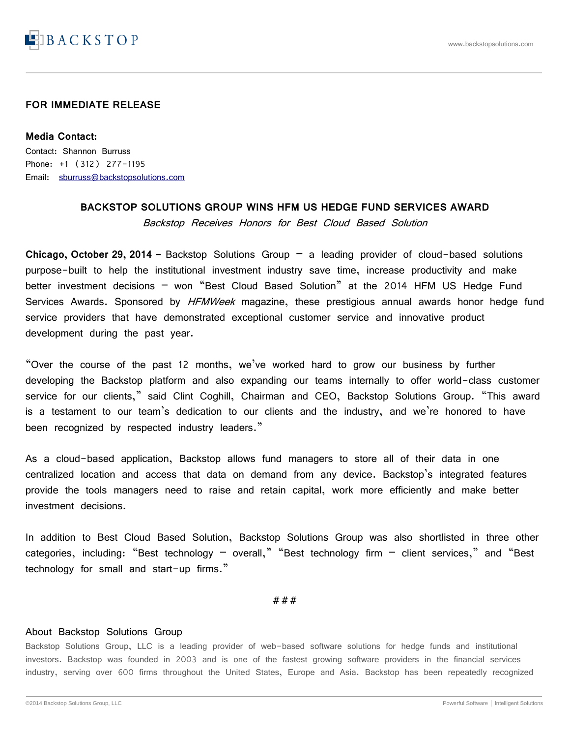

## **FOR IMMEDIATE RELEASE**

**Media Contact:** Contact: Shannon Burruss Phone: +1 (312) 277-1195 Email: [sburruss@backstopsolutions.com](mailto:sburruss@backstopsolutions.com)

## **BACKSTOP SOLUTIONS GROUP WINS HFM US HEDGE FUND SERVICES AWARD** Backstop Receives Honors for Best Cloud Based Solution

**Chicago, October 29, 2014 -** Backstop Solutions Group – a leading provider of cloud-based solutions purpose-built to help the institutional investment industry save time, increase productivity and make better investment decisions - won "Best Cloud Based Solution" at the 2014 HFM US Hedge Fund Services Awards. Sponsored by HFMWeek magazine, these prestigious annual awards honor hedge fund service providers that have demonstrated exceptional customer service and innovative product development during the past year.

"Over the course of the past 12 months, we've worked hard to grow our business by further developing the Backstop platform and also expanding our teams internally to offer world-class customer service for our clients," said Clint Coghill, Chairman and CEO, Backstop Solutions Group. "This award is a testament to our team's dedication to our clients and the industry, and we're honored to have been recognized by respected industry leaders."

As a cloud-based application, Backstop allows fund managers to store all of their data in one centralized location and access that data on demand from any device. Backstop's integrated features provide the tools managers need to raise and retain capital, work more efficiently and make better investment decisions.

In addition to Best Cloud Based Solution, Backstop Solutions Group was also shortlisted in three other categories, including: "Best technology - overall," "Best technology firm - client services," and "Best technology for small and start-up firms."

###

## About Backstop Solutions Group

Backstop Solutions Group, LLC is a leading provider of web-based software solutions for hedge funds and institutional investors. Backstop was founded in 2003 and is one of the fastest growing software providers in the financial services industry, serving over 600 firms throughout the United States, Europe and Asia. Backstop has been repeatedly recognized